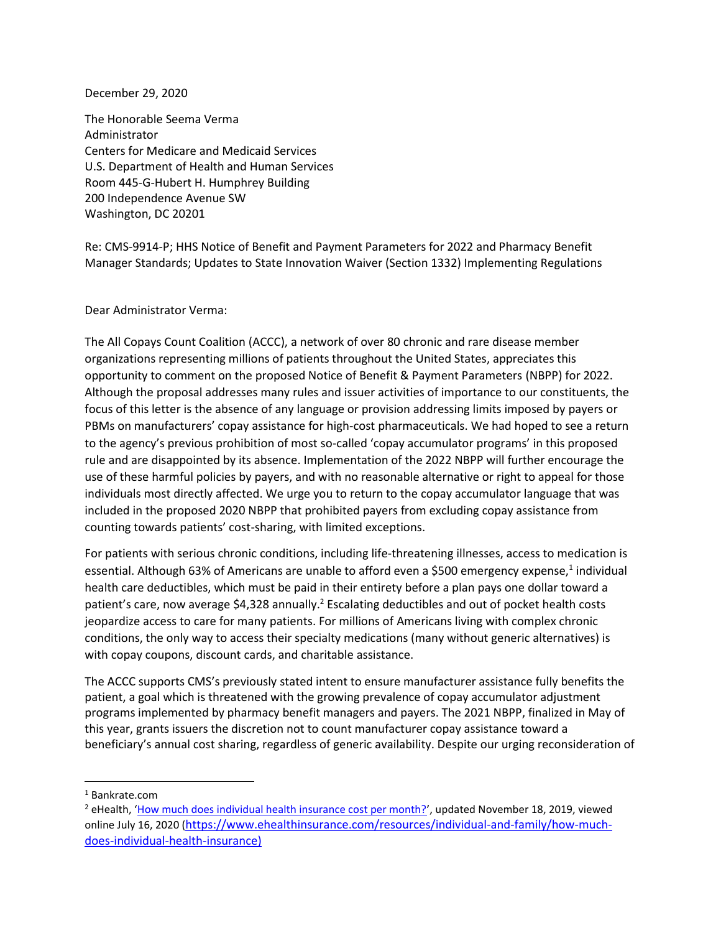December 29, 2020

The Honorable Seema Verma Administrator Centers for Medicare and Medicaid Services U.S. Department of Health and Human Services Room 445-G-Hubert H. Humphrey Building 200 Independence Avenue SW Washington, DC 20201

Re: CMS-9914-P; HHS Notice of Benefit and Payment Parameters for 2022 and Pharmacy Benefit Manager Standards; Updates to State Innovation Waiver (Section 1332) Implementing Regulations

Dear Administrator Verma:

The All Copays Count Coalition (ACCC), a network of over 80 chronic and rare disease member organizations representing millions of patients throughout the United States, appreciates this opportunity to comment on the proposed Notice of Benefit & Payment Parameters (NBPP) for 2022. Although the proposal addresses many rules and issuer activities of importance to our constituents, the focus of this letter is the absence of any language or provision addressing limits imposed by payers or PBMs on manufacturers' copay assistance for high-cost pharmaceuticals. We had hoped to see a return to the agency's previous prohibition of most so-called 'copay accumulator programs' in this proposed rule and are disappointed by its absence. Implementation of the 2022 NBPP will further encourage the use of these harmful policies by payers, and with no reasonable alternative or right to appeal for those individuals most directly affected. We urge you to return to the copay accumulator language that was included in the proposed 2020 NBPP that prohibited payers from excluding copay assistance from counting towards patients' cost-sharing, with limited exceptions.

For patients with serious chronic conditions, including life-threatening illnesses, access to medication is essential. Although 63% of Americans are unable to afford even a \$500 emergency expense,<sup>1</sup> individual health care deductibles, which must be paid in their entirety before a plan pays one dollar toward a patient's care, now average \$4,328 annually.<sup>2</sup> Escalating deductibles and out of pocket health costs jeopardize access to care for many patients. For millions of Americans living with complex chronic conditions, the only way to access their specialty medications (many without generic alternatives) is with copay coupons, discount cards, and charitable assistance.

The ACCC supports CMS's previously stated intent to ensure manufacturer assistance fully benefits the patient, a goal which is threatened with the growing prevalence of copay accumulator adjustment programs implemented by pharmacy benefit managers and payers. The 2021 NBPP, finalized in May of this year, grants issuers the discretion not to count manufacturer copay assistance toward a beneficiary's annual cost sharing, regardless of generic availability. Despite our urging reconsideration of

<sup>1</sup> Bankrate.com

<sup>&</sup>lt;sup>2</sup> eHealth, '[How much does individual health insurance cost per month?](https://www.ehealthinsurance.com/resources/individual-and-family/how-much-does-individual-health-insurance-cost#:~:text=After%20you)', updated November 18, 2019, viewed online July 16, 2020 ([https://www.ehealthinsurance.com/resources/individual-and-family/how-much](https://www.ehealthinsurance.com/resources/individual-and-family/how-much-does-individual-health-insurance))[does-individual-health-insurance\)](https://www.ehealthinsurance.com/resources/individual-and-family/how-much-does-individual-health-insurance))